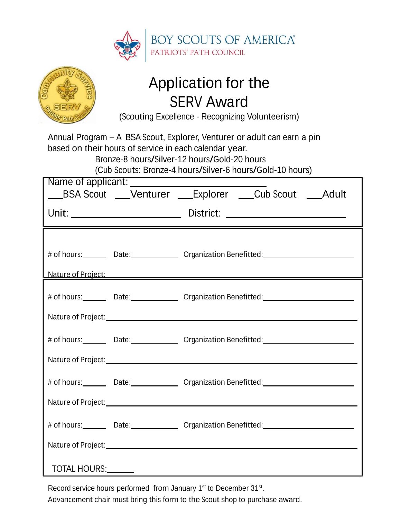



### Application for the SERV Award

(Scouting Excellence - Recognizing Volunteerism)

Annual Program – A BSA Scout, Explorer, Venturer or adult can earn a pin based on their hours of service in each calendar year. Bronze-8 hours/Silver-12 hours/Gold-20 hours

(Cub Scouts: Bronze-4 hours/Silver-6 hours/Gold-10 hours)

| Name of applicant: Name of applicant<br>__BSA Scout ___Venturer ___Explorer ___Cub Scout ___Adult |  |                                                                                                                 |
|---------------------------------------------------------------------------------------------------|--|-----------------------------------------------------------------------------------------------------------------|
|                                                                                                   |  |                                                                                                                 |
|                                                                                                   |  | # of hours: Date: Date: 0rganization Benefitted: 2008. 2010. 2010. 2010. 2010. 2010. 2010. 2010. 2011. 2012. 20 |
|                                                                                                   |  | Nature of Project:<br>Nature of Project:                                                                        |
|                                                                                                   |  | # of hours: Date: Date: Organization Benefitted: 2000 Mourn 2010                                                |
|                                                                                                   |  | Nature of Project: Nature of Project:                                                                           |
|                                                                                                   |  | # of hours: Date: Date: Organization Benefitted: National Definition of the United States of the United States  |
|                                                                                                   |  |                                                                                                                 |
|                                                                                                   |  |                                                                                                                 |
|                                                                                                   |  | Nature of Project: Nature of Project:                                                                           |
|                                                                                                   |  |                                                                                                                 |
|                                                                                                   |  |                                                                                                                 |
| TOTAL HOURS: _______                                                                              |  |                                                                                                                 |

Record service hours performed from January 1<sup>st</sup> to December 31<sup>st</sup>.

Advancement chair must bring this form to the Scout shop to purchase award.